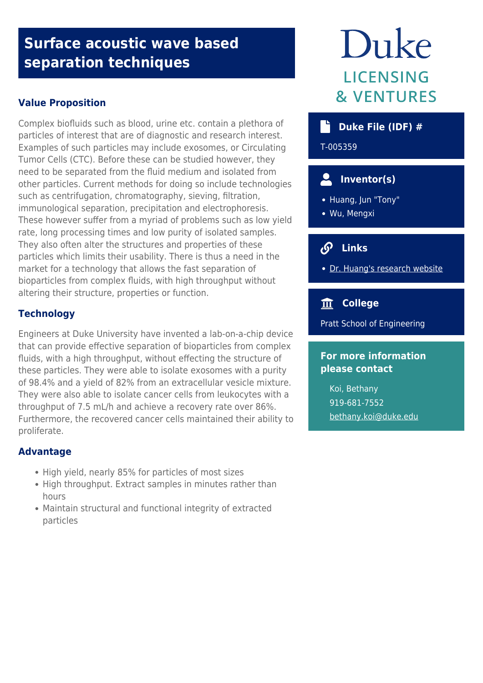## **Surface acoustic wave based separation techniques**

## **Value Proposition**

Complex biofluids such as blood, urine etc. contain a plethora of particles of interest that are of diagnostic and research interest. Examples of such particles may include exosomes, or Circulating Tumor Cells (CTC). Before these can be studied however, they need to be separated from the fluid medium and isolated from other particles. Current methods for doing so include technologies such as centrifugation, chromatography, sieving, filtration, immunological separation, precipitation and electrophoresis. These however suffer from a myriad of problems such as low yield rate, long processing times and low purity of isolated samples. They also often alter the structures and properties of these particles which limits their usability. There is thus a need in the market for a technology that allows the fast separation of bioparticles from complex fluids, with high throughput without altering their structure, properties or function.

## **Technology**

Engineers at Duke University have invented a lab-on-a-chip device that can provide effective separation of bioparticles from complex fluids, with a high throughput, without effecting the structure of these particles. They were able to isolate exosomes with a purity of 98.4% and a yield of 82% from an extracellular vesicle mixture. They were also able to isolate cancer cells from leukocytes with a throughput of 7.5 mL/h and achieve a recovery rate over 86%. Furthermore, the recovered cancer cells maintained their ability to proliferate.

### **Advantage**

- High yield, nearly 85% for particles of most sizes
- High throughput. Extract samples in minutes rather than hours
- Maintain structural and functional integrity of extracted particles

# Duke **LICENSING & VENTURES**

## **b** Duke File (IDF) #

T-005359

## **Inventor(s)**

- Huang, Jun "Tony"
- Wu, Mengxi

## **Links**

• [Dr. Huang's research website](https://acoustofluidics.pratt.duke.edu/)

## **College**

Pratt School of Engineering

#### **For more information please contact**

Koi, Bethany 919-681-7552 [bethany.koi@duke.edu](mailto:bethany.koi@duke.edu)